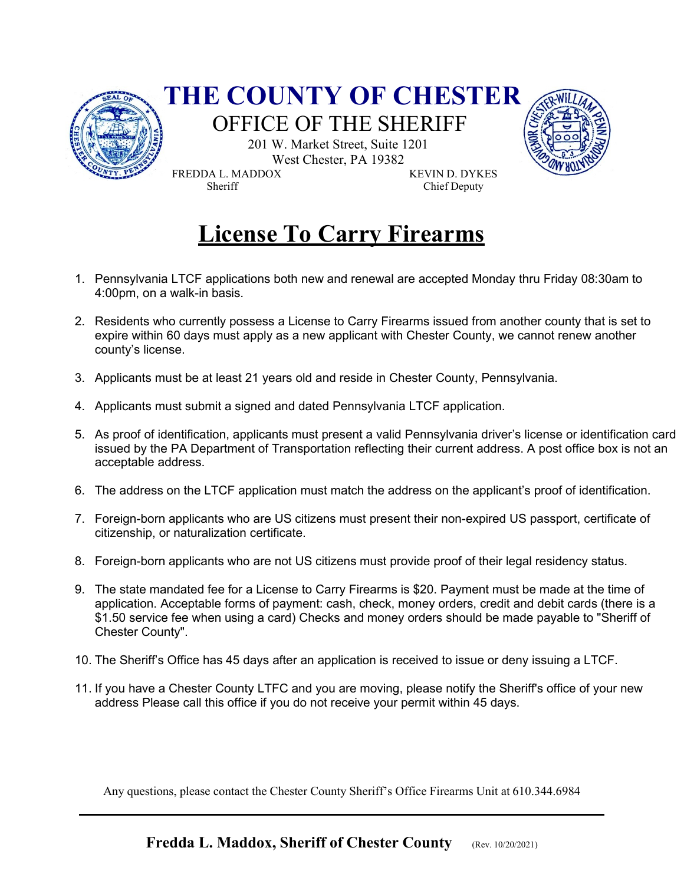

# **License To Carry Firearms**

- 1. Pennsylvania LTCF applications both new and renewal are accepted Monday thru Friday 08:30am to 4:00pm, on a walk-in basis.
- 2. Residents who currently possess a License to Carry Firearms issued from another county that is set to expire within 60 days must apply as a new applicant with Chester County, we cannot renew another county's license.
- 3. Applicants must be at least 21 years old and reside in Chester County, Pennsylvania.
- 4. Applicants must submit a signed and dated Pennsylvania LTCF application.
- 5. As proof of identification, applicants must present a valid Pennsylvania driver's license or identification card issued by the PA Department of Transportation reflecting their current address. A post office box is not an acceptable address.
- 6. The address on the LTCF application must match the address on the applicant's proof of identification.
- 7. Foreign-born applicants who are US citizens must present their non-expired US passport, certificate of citizenship, or naturalization certificate.
- 8. Foreign-born applicants who are not US citizens must provide proof of their legal residency status.
- 9. The state mandated fee for a License to Carry Firearms is \$20. Payment must be made at the time of application. Acceptable forms of payment: cash, check, money orders, credit and debit cards (there is a \$1.50 service fee when using a card) Checks and money orders should be made payable to "Sheriff of Chester County".
- 10. The Sheriff's Office has 45 days after an application is received to issue or deny issuing a LTCF.
- 11. If you have a Chester County LTFC and you are moving, please notify the Sheriff's office of your new address Please call this office if you do not receive your permit within 45 days.

Any questions, please contact the Chester County Sheriff's Office Firearms Unit at 610.344.6984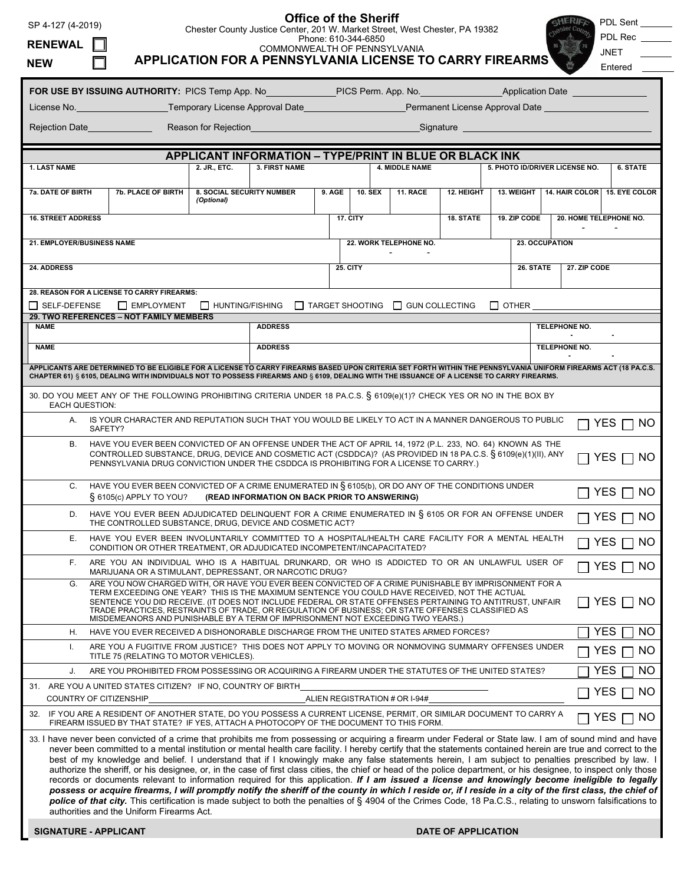# **Office of the Sheriff**

Chester County Justice Center, 201 W. Market Street, West Chester, PA 19382

SHERIFF PDL Sent

| <b>RENEWAL</b><br><b>NEW</b>                                                                                                                                                                                                                                                                                                                                                                                                                                                                                             |                                                                                                                                                                                                                                                                                                                                                                                                                                                                                                                                                                                                                                                                                                                                                                                                                                                                                                                                                                                                                                                                                                                                                                                         |                                                                    | COMMONWEALTH OF PENNSYLVANIA<br><b>APPLICATION FOR A PENNSYLVANIA LICENSE TO CARRY FIREARMS</b> |           |                                          | Phone: 610-344-6850                                                                                |              |                                |                        |               |                   | PDL Rec<br><b>JNET</b><br>Entered           |  |
|--------------------------------------------------------------------------------------------------------------------------------------------------------------------------------------------------------------------------------------------------------------------------------------------------------------------------------------------------------------------------------------------------------------------------------------------------------------------------------------------------------------------------|-----------------------------------------------------------------------------------------------------------------------------------------------------------------------------------------------------------------------------------------------------------------------------------------------------------------------------------------------------------------------------------------------------------------------------------------------------------------------------------------------------------------------------------------------------------------------------------------------------------------------------------------------------------------------------------------------------------------------------------------------------------------------------------------------------------------------------------------------------------------------------------------------------------------------------------------------------------------------------------------------------------------------------------------------------------------------------------------------------------------------------------------------------------------------------------------|--------------------------------------------------------------------|-------------------------------------------------------------------------------------------------|-----------|------------------------------------------|----------------------------------------------------------------------------------------------------|--------------|--------------------------------|------------------------|---------------|-------------------|---------------------------------------------|--|
| FOR USE BY ISSUING AUTHORITY: PICS Temp App. No                                                                                                                                                                                                                                                                                                                                                                                                                                                                          |                                                                                                                                                                                                                                                                                                                                                                                                                                                                                                                                                                                                                                                                                                                                                                                                                                                                                                                                                                                                                                                                                                                                                                                         |                                                                    |                                                                                                 |           |                                          |                                                                                                    |              |                                |                        |               |                   |                                             |  |
| License No.                                                                                                                                                                                                                                                                                                                                                                                                                                                                                                              |                                                                                                                                                                                                                                                                                                                                                                                                                                                                                                                                                                                                                                                                                                                                                                                                                                                                                                                                                                                                                                                                                                                                                                                         | Temporary License Approval Date<br>Permanent License Approval Date |                                                                                                 |           |                                          |                                                                                                    |              |                                |                        |               |                   |                                             |  |
| Rejection Date<br>Reason for Rejection                                                                                                                                                                                                                                                                                                                                                                                                                                                                                   |                                                                                                                                                                                                                                                                                                                                                                                                                                                                                                                                                                                                                                                                                                                                                                                                                                                                                                                                                                                                                                                                                                                                                                                         |                                                                    |                                                                                                 | Signature |                                          |                                                                                                    |              |                                |                        |               |                   |                                             |  |
| APPLICANT INFORMATION - TYPE/PRINT IN BLUE OR BLACK INK                                                                                                                                                                                                                                                                                                                                                                                                                                                                  |                                                                                                                                                                                                                                                                                                                                                                                                                                                                                                                                                                                                                                                                                                                                                                                                                                                                                                                                                                                                                                                                                                                                                                                         |                                                                    |                                                                                                 |           |                                          |                                                                                                    |              |                                |                        |               |                   |                                             |  |
| 2. JR., ETC.<br><b>1. LAST NAME</b>                                                                                                                                                                                                                                                                                                                                                                                                                                                                                      |                                                                                                                                                                                                                                                                                                                                                                                                                                                                                                                                                                                                                                                                                                                                                                                                                                                                                                                                                                                                                                                                                                                                                                                         |                                                                    | <b>3. FIRST NAME</b><br><b>4. MIDDLE NAME</b>                                                   |           |                                          |                                                                                                    |              | 5. PHOTO ID/DRIVER LICENSE NO. |                        |               | 6. STATE          |                                             |  |
| 7a. DATE OF BIRTH                                                                                                                                                                                                                                                                                                                                                                                                                                                                                                        | <b>8. SOCIAL SECURITY NUMBER</b><br><b>7b. PLACE OF BIRTH</b><br>(Optional)                                                                                                                                                                                                                                                                                                                                                                                                                                                                                                                                                                                                                                                                                                                                                                                                                                                                                                                                                                                                                                                                                                             |                                                                    | 9. AGE                                                                                          |           |                                          | <b>10. SEX</b>                                                                                     | 11. RACE     | 12. HEIGHT                     |                        |               |                   | 13. WEIGHT   14. HAIR COLOR   15. EYE COLOR |  |
| <b>16. STREET ADDRESS</b>                                                                                                                                                                                                                                                                                                                                                                                                                                                                                                |                                                                                                                                                                                                                                                                                                                                                                                                                                                                                                                                                                                                                                                                                                                                                                                                                                                                                                                                                                                                                                                                                                                                                                                         |                                                                    | 17. CITY                                                                                        |           |                                          | 18. STATE                                                                                          | 19. ZIP CODE |                                | 20. HOME TELEPHONE NO. |               |                   |                                             |  |
| 21. EMPLOYER/BUSINESS NAME                                                                                                                                                                                                                                                                                                                                                                                                                                                                                               |                                                                                                                                                                                                                                                                                                                                                                                                                                                                                                                                                                                                                                                                                                                                                                                                                                                                                                                                                                                                                                                                                                                                                                                         |                                                                    |                                                                                                 |           | 22. WORK TELEPHONE NO.<br>23. OCCUPATION |                                                                                                    |              |                                |                        |               |                   |                                             |  |
| <b>24. ADDRESS</b>                                                                                                                                                                                                                                                                                                                                                                                                                                                                                                       |                                                                                                                                                                                                                                                                                                                                                                                                                                                                                                                                                                                                                                                                                                                                                                                                                                                                                                                                                                                                                                                                                                                                                                                         | <b>25. CITY</b>                                                    |                                                                                                 |           |                                          |                                                                                                    |              | 27. ZIP CODE<br>26. STATE      |                        |               |                   |                                             |  |
| 28. REASON FOR A LICENSE TO CARRY FIREARMS:                                                                                                                                                                                                                                                                                                                                                                                                                                                                              |                                                                                                                                                                                                                                                                                                                                                                                                                                                                                                                                                                                                                                                                                                                                                                                                                                                                                                                                                                                                                                                                                                                                                                                         |                                                                    |                                                                                                 |           |                                          |                                                                                                    |              |                                |                        |               |                   |                                             |  |
| $\Box$ Self-Defense<br>$\Box$ HUNTING/FISHING<br>T TARGET SHOOTING<br>$\Box$ other<br>$\Box$ EMPLOYMENT<br><b>IN GUN COLLECTING</b><br>29. TWO REFERENCES - NOT FAMILY MEMBERS                                                                                                                                                                                                                                                                                                                                           |                                                                                                                                                                                                                                                                                                                                                                                                                                                                                                                                                                                                                                                                                                                                                                                                                                                                                                                                                                                                                                                                                                                                                                                         |                                                                    |                                                                                                 |           |                                          |                                                                                                    |              |                                |                        |               |                   |                                             |  |
| <b>NAME</b>                                                                                                                                                                                                                                                                                                                                                                                                                                                                                                              |                                                                                                                                                                                                                                                                                                                                                                                                                                                                                                                                                                                                                                                                                                                                                                                                                                                                                                                                                                                                                                                                                                                                                                                         | <b>ADDRESS</b>                                                     |                                                                                                 |           |                                          |                                                                                                    |              |                                |                        | TELEPHONE NO. |                   |                                             |  |
| <b>NAME</b>                                                                                                                                                                                                                                                                                                                                                                                                                                                                                                              | <b>ADDRESS</b>                                                                                                                                                                                                                                                                                                                                                                                                                                                                                                                                                                                                                                                                                                                                                                                                                                                                                                                                                                                                                                                                                                                                                                          |                                                                    |                                                                                                 |           |                                          |                                                                                                    |              |                                |                        |               | TELEPHONE NO.     |                                             |  |
| APPLICANTS ARE DETERMINED TO BE ELIGIBLE FOR A LICENSE TO CARRY FIREARMS BASED UPON CRITERIA SET FORTH WITHIN THE PENNSYLVANIA UNIFORM FIREARMS ACT (18 PA.C.S.<br>CHAPTER 61) § 6105, DEALING WITH INDIVIDUALS NOT TO POSSESS FIREARMS AND § 6109, DEALING WITH THE ISSUANCE OF A LICENSE TO CARRY FIREARMS.                                                                                                                                                                                                            |                                                                                                                                                                                                                                                                                                                                                                                                                                                                                                                                                                                                                                                                                                                                                                                                                                                                                                                                                                                                                                                                                                                                                                                         |                                                                    |                                                                                                 |           |                                          |                                                                                                    |              |                                |                        |               |                   |                                             |  |
| 30. DO YOU MEET ANY OF THE FOLLOWING PROHIBITING CRITERIA UNDER 18 PA.C.S. § 6109(e)(1)? CHECK YES OR NO IN THE BOX BY<br>EACH QUESTION:                                                                                                                                                                                                                                                                                                                                                                                 |                                                                                                                                                                                                                                                                                                                                                                                                                                                                                                                                                                                                                                                                                                                                                                                                                                                                                                                                                                                                                                                                                                                                                                                         |                                                                    |                                                                                                 |           |                                          |                                                                                                    |              |                                |                        |               |                   |                                             |  |
|                                                                                                                                                                                                                                                                                                                                                                                                                                                                                                                          | A. IS YOUR CHARACTER AND REPUTATION SUCH THAT YOU WOULD BE LIKELY TO ACT IN A MANNER DANGEROUS TO PUBLIC<br>SAFETY?                                                                                                                                                                                                                                                                                                                                                                                                                                                                                                                                                                                                                                                                                                                                                                                                                                                                                                                                                                                                                                                                     |                                                                    |                                                                                                 |           |                                          |                                                                                                    |              |                                |                        |               |                   | <b>YES</b><br>NO.                           |  |
| HAVE YOU EVER BEEN CONVICTED OF AN OFFENSE UNDER THE ACT OF APRIL 14, 1972 (P.L. 233, NO. 64) KNOWN AS THE<br>В.<br>CONTROLLED SUBSTANCE, DRUG, DEVICE AND COSMETIC ACT (CSDDCA)? (AS PROVIDED IN 18 PA.C.S. § 6109(e)(1)(II), ANY<br>$\Box$ Yes $\Box$<br>NO.<br>PENNSYLVANIA DRUG CONVICTION UNDER THE CSDDCA IS PROHIBITING FOR A LICENSE TO CARRY.)                                                                                                                                                                  |                                                                                                                                                                                                                                                                                                                                                                                                                                                                                                                                                                                                                                                                                                                                                                                                                                                                                                                                                                                                                                                                                                                                                                                         |                                                                    |                                                                                                 |           |                                          |                                                                                                    |              |                                |                        |               |                   |                                             |  |
| C.                                                                                                                                                                                                                                                                                                                                                                                                                                                                                                                       | HAVE YOU EVER BEEN CONVICTED OF A CRIME ENUMERATED IN § 6105(b), OR DO ANY OF THE CONDITIONS UNDER<br>NO.<br>YES.<br>§ 6105(c) APPLY TO YOU?<br>(READ INFORMATION ON BACK PRIOR TO ANSWERING)                                                                                                                                                                                                                                                                                                                                                                                                                                                                                                                                                                                                                                                                                                                                                                                                                                                                                                                                                                                           |                                                                    |                                                                                                 |           |                                          |                                                                                                    |              |                                |                        |               |                   |                                             |  |
|                                                                                                                                                                                                                                                                                                                                                                                                                                                                                                                          | D. HAVE YOU EVER BEEN ADJUDICATED DELINQUENT FOR A CRIME ENUMERATED IN § 6105 OR FOR AN OFFENSE UNDER<br>YES<br>THE CONTROLLED SUBSTANCE, DRUG, DEVICE AND COSMETIC ACT?                                                                                                                                                                                                                                                                                                                                                                                                                                                                                                                                                                                                                                                                                                                                                                                                                                                                                                                                                                                                                |                                                                    |                                                                                                 |           |                                          |                                                                                                    |              |                                |                        |               |                   | NO.                                         |  |
| Е.                                                                                                                                                                                                                                                                                                                                                                                                                                                                                                                       | HAVE YOU EVER BEEN INVOLUNTARILY COMMITTED TO A HOSPITAL/HEALTH CARE FACILITY FOR A MENTAL HEALTH<br>CONDITION OR OTHER TREATMENT, OR ADJUDICATED INCOMPETENT/INCAPACITATED?                                                                                                                                                                                                                                                                                                                                                                                                                                                                                                                                                                                                                                                                                                                                                                                                                                                                                                                                                                                                            |                                                                    |                                                                                                 |           |                                          |                                                                                                    |              |                                |                        |               | <b>YES</b><br>NO. |                                             |  |
| F.                                                                                                                                                                                                                                                                                                                                                                                                                                                                                                                       | ARE YOU AN INDIVIDUAL WHO IS A HABITUAL DRUNKARD, OR WHO IS ADDICTED TO OR AN UNLAWFUL USER OF<br>MARIJUANA OR A STIMULANT, DEPRESSANT, OR NARCOTIC DRUG?                                                                                                                                                                                                                                                                                                                                                                                                                                                                                                                                                                                                                                                                                                                                                                                                                                                                                                                                                                                                                               |                                                                    |                                                                                                 |           |                                          |                                                                                                    |              |                                |                        |               |                   | <b>YES</b><br>NO.                           |  |
| ARE YOU NOW CHARGED WITH, OR HAVE YOU EVER BEEN CONVICTED OF A CRIME PUNISHABLE BY IMPRISONMENT FOR A<br>G.<br>TERM EXCEEDING ONE YEAR? THIS IS THE MAXIMUM SENTENCE YOU COULD HAVE RECEIVED, NOT THE ACTUAL<br>SENTENCE YOU DID RECEIVE. (IT DOES NOT INCLUDE FEDERAL OR STATE OFFENSES PERTAINING TO ANTITRUST, UNFAIR<br>YES I<br>TRADE PRACTICES, RESTRAINTS OF TRADE, OR REGULATION OF BUSINESS; OR STATE OFFENSES CLASSIFIED AS<br>MISDEMEANORS AND PUNISHABLE BY A TERM OF IMPRISONMENT NOT EXCEEDING TWO YEARS.) |                                                                                                                                                                                                                                                                                                                                                                                                                                                                                                                                                                                                                                                                                                                                                                                                                                                                                                                                                                                                                                                                                                                                                                                         |                                                                    |                                                                                                 |           |                                          |                                                                                                    |              |                                |                        |               | -NO               |                                             |  |
| Η.                                                                                                                                                                                                                                                                                                                                                                                                                                                                                                                       | HAVE YOU EVER RECEIVED A DISHONORABLE DISCHARGE FROM THE UNITED STATES ARMED FORCES?                                                                                                                                                                                                                                                                                                                                                                                                                                                                                                                                                                                                                                                                                                                                                                                                                                                                                                                                                                                                                                                                                                    |                                                                    |                                                                                                 |           |                                          |                                                                                                    |              |                                |                        |               |                   | <b>YES</b><br>NO                            |  |
| Ι.<br>TITLE 75 (RELATING TO MOTOR VEHICLES).                                                                                                                                                                                                                                                                                                                                                                                                                                                                             |                                                                                                                                                                                                                                                                                                                                                                                                                                                                                                                                                                                                                                                                                                                                                                                                                                                                                                                                                                                                                                                                                                                                                                                         |                                                                    |                                                                                                 |           |                                          | ARE YOU A FUGITIVE FROM JUSTICE? THIS DOES NOT APPLY TO MOVING OR NONMOVING SUMMARY OFFENSES UNDER |              |                                |                        |               |                   | <b>YES</b><br>NO                            |  |
| ARE YOU PROHIBITED FROM POSSESSING OR ACQUIRING A FIREARM UNDER THE STATUTES OF THE UNITED STATES?<br>J.                                                                                                                                                                                                                                                                                                                                                                                                                 |                                                                                                                                                                                                                                                                                                                                                                                                                                                                                                                                                                                                                                                                                                                                                                                                                                                                                                                                                                                                                                                                                                                                                                                         |                                                                    |                                                                                                 |           |                                          |                                                                                                    |              |                                |                        |               |                   | <b>YES</b><br>NO                            |  |
| 31. ARE YOU A UNITED STATES CITIZEN? IF NO, COUNTRY OF BIRTH<br>COUNTRY OF CITIZENSHIP<br>ALIEN REGISTRATION # OR I-94#                                                                                                                                                                                                                                                                                                                                                                                                  |                                                                                                                                                                                                                                                                                                                                                                                                                                                                                                                                                                                                                                                                                                                                                                                                                                                                                                                                                                                                                                                                                                                                                                                         |                                                                    |                                                                                                 |           |                                          |                                                                                                    |              |                                |                        |               | NO<br>YES.        |                                             |  |
|                                                                                                                                                                                                                                                                                                                                                                                                                                                                                                                          | 32. IF YOU ARE A RESIDENT OF ANOTHER STATE, DO YOU POSSESS A CURRENT LICENSE, PERMIT, OR SIMILAR DOCUMENT TO CARRY A<br>FIREARM ISSUED BY THAT STATE? IF YES, ATTACH A PHOTOCOPY OF THE DOCUMENT TO THIS FORM.                                                                                                                                                                                                                                                                                                                                                                                                                                                                                                                                                                                                                                                                                                                                                                                                                                                                                                                                                                          |                                                                    |                                                                                                 |           |                                          |                                                                                                    |              |                                |                        |               |                   | <b>YES</b><br>NO.                           |  |
|                                                                                                                                                                                                                                                                                                                                                                                                                                                                                                                          | 33. I have never been convicted of a crime that prohibits me from possessing or acquiring a firearm under Federal or State law. I am of sound mind and have<br>never been committed to a mental institution or mental health care facility. I hereby certify that the statements contained herein are true and correct to the<br>best of my knowledge and belief. I understand that if I knowingly make any false statements herein, I am subject to penalties prescribed by law. I<br>authorize the sheriff, or his designee, or, in the case of first class cities, the chief or head of the police department, or his designee, to inspect only those<br>records or documents relevant to information required for this application. If I am issued a license and knowingly become ineligible to legally<br>possess or acquire firearms, I will promptly notify the sheriff of the county in which I reside or, if I reside in a city of the first class, the chief of<br>police of that city. This certification is made subject to both the penalties of § 4904 of the Crimes Code, 18 Pa.C.S., relating to unsworn falsifications to<br>authorities and the Uniform Firearms Act. |                                                                    |                                                                                                 |           |                                          |                                                                                                    |              |                                |                        |               |                   |                                             |  |
| <b>SIGNATURE - APPLICANT</b>                                                                                                                                                                                                                                                                                                                                                                                                                                                                                             |                                                                                                                                                                                                                                                                                                                                                                                                                                                                                                                                                                                                                                                                                                                                                                                                                                                                                                                                                                                                                                                                                                                                                                                         |                                                                    |                                                                                                 |           |                                          |                                                                                                    |              | <b>DATE OF APPLICATION</b>     |                        |               |                   |                                             |  |

**SIGNATURE - APPLICANT DATE OF APPLICATION**